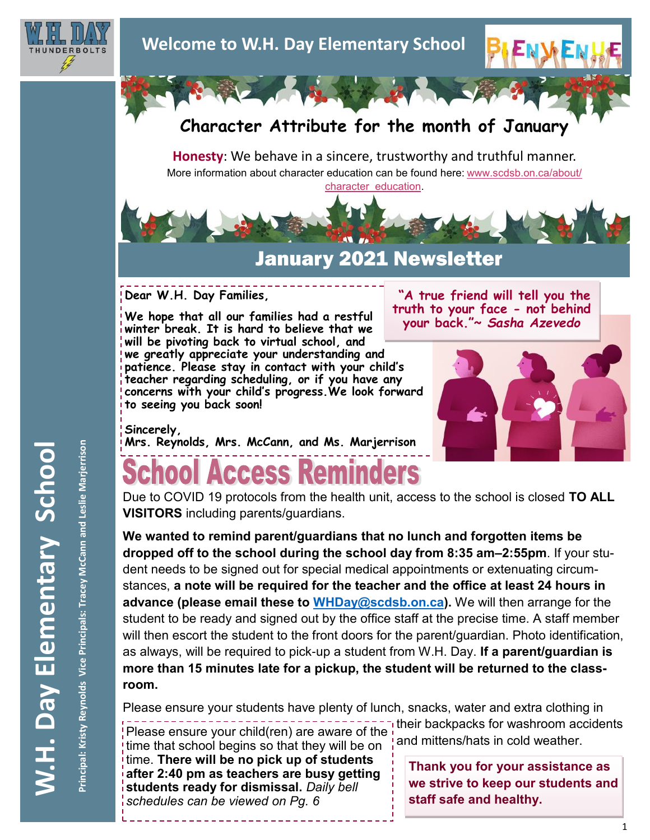



## **Character Attribute for the month of January**

**Honesty**: We behave in a sincere, trustworthy and truthful manner. More information about character education can be found here: [www.scdsb.on.ca/about/](http://www.scdsb.on.ca/about/character_education) [character\\_education.](http://www.scdsb.on.ca/about/character_education)



## January 2021 Newsletter

**Dear W.H. Day Families,**

**We hope that all our families had a restful winter break. It is hard to believe that we will be pivoting back to virtual school, and we greatly appreciate your understanding and patience. Please stay in contact with your child's teacher regarding scheduling, or if you have any concerns with your child's progress.We look forward to seeing you back soon!**

#### **"A true friend will tell you the truth to your face - not behind your back."~** *Sasha Azevedo*



**Sincerely, Mrs. Reynolds, Mrs. McCann, and Ms. Marjerrison**

# ool Access Reminders

Due to COVID 19 protocols from the health unit, access to the school is closed **TO ALL VISITORS** including parents/guardians.

**We wanted to remind parent/guardians that no lunch and forgotten items be dropped off to the school during the school day from 8:35 am–2:55pm**. If your student needs to be signed out for special medical appointments or extenuating circumstances, **a note will be required for the teacher and the office at least 24 hours in advance (please email these to [WHDay@scdsb.on.ca\)](mailto:WHDay@scdsb.on.ca).** We will then arrange for the student to be ready and signed out by the office staff at the precise time. A staff member will then escort the student to the front doors for the parent/guardian. Photo identification, as always, will be required to pick-up a student from W.H. Day. **If a parent/guardian is more than 15 minutes late for a pickup, the student will be returned to the classroom.**

Please ensure your students have plenty of lunch, snacks, water and extra clothing in

their backpacks for washroom accidents Please ensure your child(ren) are aware of the  $\frac{1}{2}$  and mittens/hats in cold weather. time that school begins so that they will be on

time. **There will be no pick up of students after 2:40 pm as teachers are busy getting students ready for dismissal.** *Daily bell schedules can be viewed on Pg. 6*

**Thank you for your assistance as we strive to keep our students and staff safe and healthy.**

Principal: Kristy Reynolds Vice Principals: Tracey McCann and Leslie Marjerrison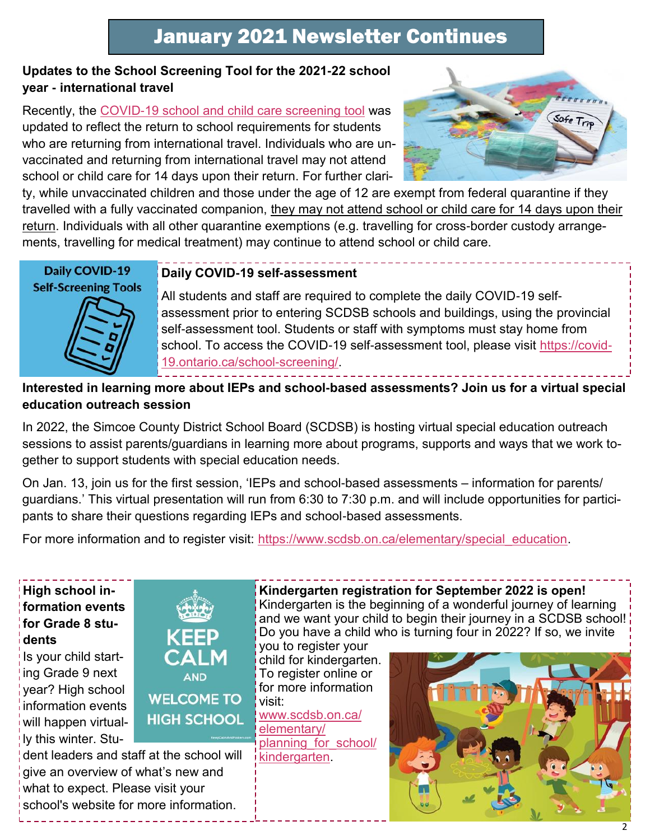#### **Updates to the School Screening Tool for the 2021-22 school year - international travel**

Recently, the [COVID-19 school and child care screening tool](https://can01.safelinks.protection.outlook.com/?url=https%3A%2F%2Fcovid-19.ontario.ca%2Fschool-screening%2F&data=04%7C01%7Cafarrell%40scdsb.on.ca%7Cf7af1515da514fb5da6808d99a358863%7C573d7e64d5434fd8b3da0c64adc4eb35%7C1%7C0%7C637710376967295545%7CUnknown%7CTW) was updated to reflect the return to school requirements for students who are returning from international travel. Individuals who are unvaccinated and returning from international travel may not attend school or child care for 14 days upon their return. For further clari-



ty, while unvaccinated children and those under the age of 12 are exempt from federal quarantine if they travelled with a fully vaccinated companion, they may not attend school or child care for 14 days upon their return. Individuals with all other quarantine exemptions (e.g. travelling for cross-border custody arrangements, travelling for medical treatment) may continue to attend school or child care.

Daily COVID-19 **Self-Screening Tools** 

#### **Daily COVID-19 self-assessment**

All students and staff are required to complete the daily COVID-19 selfassessment prior to entering SCDSB schools and buildings, using the provincial self-assessment tool. Students or staff with symptoms must stay home from school. To access the COVID-19 self-assessment tool, please visit [https://covid-](https://covid-19.ontario.ca/school-screening/)[19.ontario.ca/school-screening/.](https://covid-19.ontario.ca/school-screening/)

## **Interested in learning more about IEPs and school-based assessments? Join us for a virtual special education outreach session**

In 2022, the Simcoe County District School Board (SCDSB) is hosting virtual special education outreach sessions to assist parents/guardians in learning more about programs, supports and ways that we work together to support students with special education needs.

On Jan. 13, join us for the first session, 'IEPs and school-based assessments – information for parents/ guardians.' This virtual presentation will run from 6:30 to 7:30 p.m. and will include opportunities for participants to share their questions regarding IEPs and school-based assessments.

For more information and to register visit: https://www.scdsb.on.ca/elementary/special education.

**High school information events for Grade 8 students** 

Is your child starting Grade 9 next year? High school information events will happen virtually this winter. Stu-



dent leaders and staff at the school will give an overview of what's new and what to expect. Please visit your school's website for more information.

#### **Kindergarten registration for September 2022 is open!**

Kindergarten is the beginning of a wonderful journey of learning and we want your child to begin their journey in a SCDSB school! Do you have a child who is turning four in 2022? If so, we invite

you to register your child for kindergarten. To register online or for more information visit: [www.scdsb.on.ca/](http://www.scdsb.on.ca/elementary/planning_for_school/kindergarten)

[elementary/](http://www.scdsb.on.ca/elementary/planning_for_school/kindergarten) [planning\\_for\\_school/](http://www.scdsb.on.ca/elementary/planning_for_school/kindergarten) kindergarten

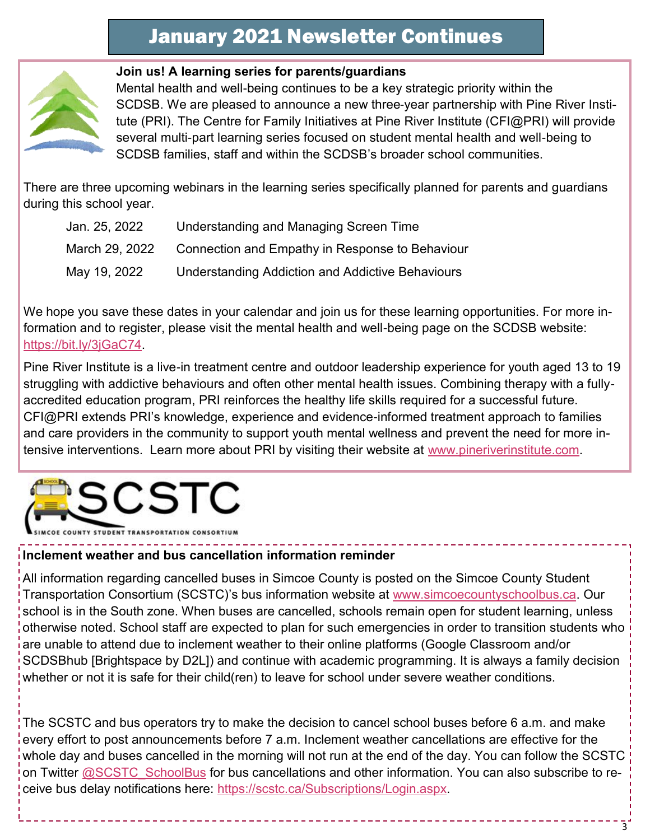

#### **Join us! A learning series for parents/guardians**

Mental health and well-being continues to be a key strategic priority within the SCDSB. We are pleased to announce a new three-year partnership with Pine River Institute (PRI). The Centre for Family Initiatives at Pine River Institute (CFI@PRI) will provide several multi-part learning series focused on student mental health and well-being to SCDSB families, staff and within the SCDSB's broader school communities.

There are three upcoming webinars in the learning series specifically planned for parents and guardians during this school year.

| Jan. 25, 2022  | Understanding and Managing Screen Time                  |
|----------------|---------------------------------------------------------|
| March 29, 2022 | Connection and Empathy in Response to Behaviour         |
| May 19, 2022   | <b>Understanding Addiction and Addictive Behaviours</b> |

We hope you save these dates in your calendar and join us for these learning opportunities. For more information and to register, please visit the mental health and well-being page on the SCDSB website: [https://bit.ly/3jGaC74.](https://can01.safelinks.protection.outlook.com/?url=https%3A%2F%2Fbit.ly%2F3jGaC74&data=04%7C01%7Cafarrell%40scdsb.on.ca%7Cec4ecedd6fe14e8d9f3708d999468884%7C573d7e64d5434fd8b3da0c64adc4eb35%7C1%7C0%7C637709350472482142%7CUnknown%7CTWFpbGZsb3d8eyJWIjoiMC4wLjA)

Pine River Institute is a live-in treatment centre and outdoor leadership experience for youth aged 13 to 19 struggling with addictive behaviours and often other mental health issues. Combining therapy with a fullyaccredited education program, PRI reinforces the healthy life skills required for a successful future. CFI@PRI extends PRI's knowledge, experience and evidence-informed treatment approach to families and care providers in the community to support youth mental wellness and prevent the need for more intensive interventions. Learn more about PRI by visiting their website at [www.pineriverinstitute.com.](http://www.pineriverinstitute.com)



OUNTY STUDENT TRANSPORTATION CONSORTIUM

#### **Inclement weather and bus cancellation information reminder**

All information regarding cancelled buses in Simcoe County is posted on the Simcoe County Student Transportation Consortium (SCSTC)'s bus information website at [www.simcoecountyschoolbus.ca.](file://///adminvs01/diroff/Communications/Communications%20Department/School%20Newsletter%20Items/2020-2021/October/www.simcoecountyschoolbus.ca) Our school is in the South zone. When buses are cancelled, schools remain open for student learning, unless otherwise noted. School staff are expected to plan for such emergencies in order to transition students who are unable to attend due to inclement weather to their online platforms (Google Classroom and/or SCDSBhub [Brightspace by D2L]) and continue with academic programming. It is always a family decision whether or not it is safe for their child(ren) to leave for school under severe weather conditions.

The SCSTC and bus operators try to make the decision to cancel school buses before 6 a.m. and make every effort to post announcements before 7 a.m. Inclement weather cancellations are effective for the whole day and buses cancelled in the morning will not run at the end of the day. You can follow the SCSTC on Twitter [@SCSTC\\_SchoolBus](https://twitter.com/SCSTC_SchoolBus?ref_src=twsrc%5Egoogle%7Ctwcamp%5Eserp%7Ctwgr%5Eauthor) for bus cancellations and other information. You can also subscribe to receive bus delay notifications here: [https://scstc.ca/Subscriptions/Login.aspx.](https://scstc.ca/Subscriptions/Login.aspx)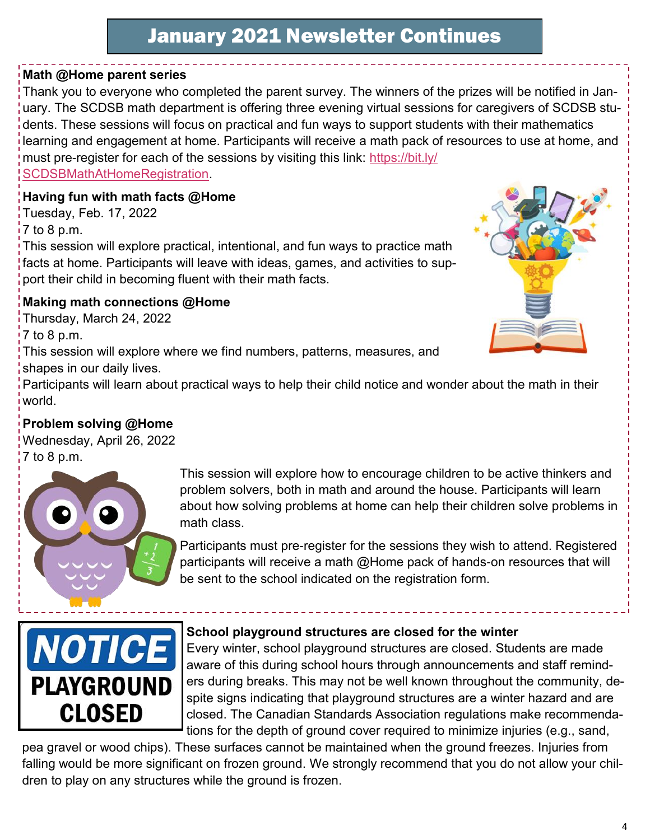## **Math @Home parent series**

Thank you to everyone who completed the parent survey. The winners of the prizes will be notified in January. The SCDSB math department is offering three evening virtual sessions for caregivers of SCDSB students. These sessions will focus on practical and fun ways to support students with their mathematics learning and engagement at home. Participants will receive a math pack of resources to use at home, and must pre-register for each of the sessions by visiting this link: [https://bit.ly/](https://bit.ly/SCDSBMathAtHomeRegistration) [SCDSBMathAtHomeRegistration.](https://bit.ly/SCDSBMathAtHomeRegistration)

## **Having fun with math facts @Home**

Tuesday, Feb. 17, 2022 7 to 8 p.m.

This session will explore practical, intentional, and fun ways to practice math facts at home. Participants will leave with ideas, games, and activities to support their child in becoming fluent with their math facts.

## **Making math connections @Home**

Thursday, March 24, 2022

7 to 8 p.m.

This session will explore where we find numbers, patterns, measures, and shapes in our daily lives.



Participants will learn about practical ways to help their child notice and wonder about the math in their world.

## **Problem solving @Home**

Wednesday, April 26, 2022 7 to 8 p.m.



This session will explore how to encourage children to be active thinkers and problem solvers, both in math and around the house. Participants will learn about how solving problems at home can help their children solve problems in math class.

Participants must pre-register for the sessions they wish to attend. Registered participants will receive a math @Home pack of hands-on resources that will be sent to the school indicated on the registration form.



#### **School playground structures are closed for the winter**

Every winter, school playground structures are closed. Students are made aware of this during school hours through announcements and staff reminders during breaks. This may not be well known throughout the community, despite signs indicating that playground structures are a winter hazard and are closed. The Canadian Standards Association regulations make recommendations for the depth of ground cover required to minimize injuries (e.g., sand,

pea gravel or wood chips). These surfaces cannot be maintained when the ground freezes. Injuries from falling would be more significant on frozen ground. We strongly recommend that you do not allow your children to play on any structures while the ground is frozen.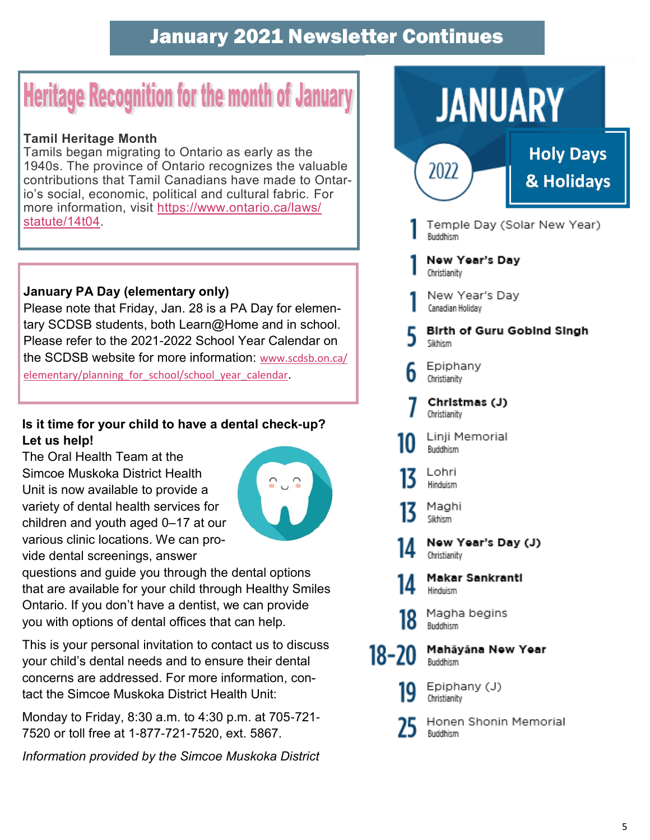# **Heritage Recognition for the month of January**

### **Tamil Heritage Month**

Tamils began migrating to Ontario as early as the 1940s. The province of Ontario recognizes the valuable contributions that Tamil Canadians have made to Ontario's social, economic, political and cultural fabric. For more information, visit [https://www.ontario.ca/laws/](https://www.ontario.ca/laws/statute/14t04) [statute/14t04.](https://www.ontario.ca/laws/statute/14t04)

### **January PA Day (elementary only)**

Please note that Friday, Jan. 28 is a PA Day for elementary SCDSB students, both Learn@Home and in school. Please refer to the 2021-2022 School Year Calendar on the SCDSB website for more information: [www.scdsb.on.ca/](http://www.scdsb.on.ca/elementary/planning_for_school/school_year_calendar) elementary/planning for school/school year calendar.

### **Is it time for your child to have a dental check-up? Let us help!**

The Oral Health Team at the Simcoe Muskoka District Health Unit is now available to provide a variety of dental health services for children and youth aged 0–17 at our various clinic locations. We can provide dental screenings, answer



questions and guide you through the dental options that are available for your child through Healthy Smiles Ontario. If you don't have a dentist, we can provide you with options of dental offices that can help.

This is your personal invitation to contact us to discuss your child's dental needs and to ensure their dental concerns are addressed. For more information, contact the Simcoe Muskoka District Health Unit:

Monday to Friday, 8:30 a.m. to 4:30 p.m. at 705-721- 7520 or toll free at 1-877-721-7520, ext. 5867.

*Information provided by the Simcoe Muskoka District* 

# **JANUARY**



**Holy Days & Holidays**

- Temple Day (Solar New Year) Buddhism
- New Year's Dav Christianity
- New Year's Day Canadian Holidav
- **Birth of Guru Gobind Singh** Sikhism
- Epiphany Christianity
- Christmas (J) Christianity
- Linji Memorial Buddhism
- Lohri Hinduism
- Maghi Sikhism
- New Year's Day (J) Christianity
- **Makar Sankranti** IД Hinduism
	- Magha begins Buddhism
- Mahāyāna New Year 18-20 Buddhism
	- Epiphany (J) 19 Christianity
		- Honen Shonin Memorial Buddhism